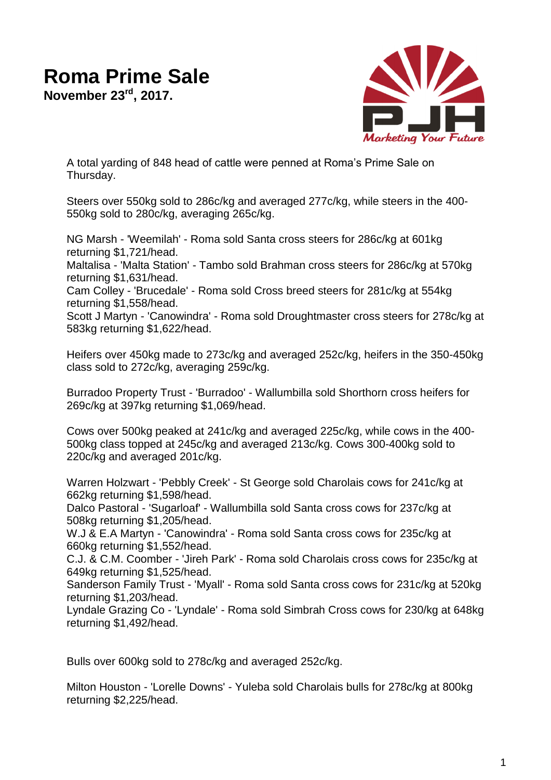## **Roma Prime Sale**

**November 23rd, 2017.**



A total yarding of 848 head of cattle were penned at Roma's Prime Sale on Thursday.

Steers over 550kg sold to 286c/kg and averaged 277c/kg, while steers in the 400- 550kg sold to 280c/kg, averaging 265c/kg.

NG Marsh - 'Weemilah' - Roma sold Santa cross steers for 286c/kg at 601kg returning \$1,721/head.

Maltalisa - 'Malta Station' - Tambo sold Brahman cross steers for 286c/kg at 570kg returning \$1,631/head.

Cam Colley - 'Brucedale' - Roma sold Cross breed steers for 281c/kg at 554kg returning \$1,558/head.

Scott J Martyn - 'Canowindra' - Roma sold Droughtmaster cross steers for 278c/kg at 583kg returning \$1,622/head.

Heifers over 450kg made to 273c/kg and averaged 252c/kg, heifers in the 350-450kg class sold to 272c/kg, averaging 259c/kg.

Burradoo Property Trust - 'Burradoo' - Wallumbilla sold Shorthorn cross heifers for 269c/kg at 397kg returning \$1,069/head.

Cows over 500kg peaked at 241c/kg and averaged 225c/kg, while cows in the 400- 500kg class topped at 245c/kg and averaged 213c/kg. Cows 300-400kg sold to 220c/kg and averaged 201c/kg.

Warren Holzwart - 'Pebbly Creek' - St George sold Charolais cows for 241c/kg at 662kg returning \$1,598/head.

Dalco Pastoral - 'Sugarloaf' - Wallumbilla sold Santa cross cows for 237c/kg at 508kg returning \$1,205/head.

W.J & E.A Martyn - 'Canowindra' - Roma sold Santa cross cows for 235c/kg at 660kg returning \$1,552/head.

C.J. & C.M. Coomber - 'Jireh Park' - Roma sold Charolais cross cows for 235c/kg at 649kg returning \$1,525/head.

Sanderson Family Trust - 'Myall' - Roma sold Santa cross cows for 231c/kg at 520kg returning \$1,203/head.

Lyndale Grazing Co - 'Lyndale' - Roma sold Simbrah Cross cows for 230/kg at 648kg returning \$1,492/head.

Bulls over 600kg sold to 278c/kg and averaged 252c/kg.

Milton Houston - 'Lorelle Downs' - Yuleba sold Charolais bulls for 278c/kg at 800kg returning \$2,225/head.